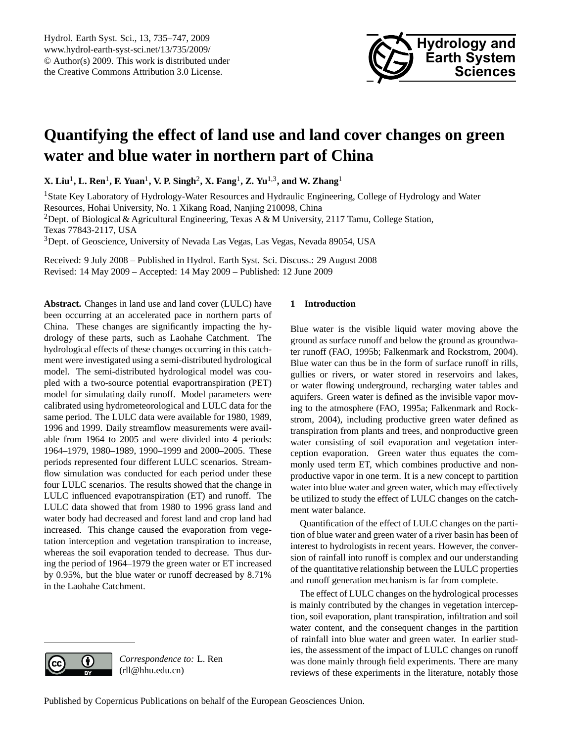

# <span id="page-0-0"></span>**Quantifying the effect of land use and land cover changes on green water and blue water in northern part of China**

**X. Liu**<sup>1</sup> **, L. Ren**<sup>1</sup> **, F. Yuan**<sup>1</sup> **, V. P. Singh**<sup>2</sup> **, X. Fang**<sup>1</sup> **, Z. Yu**1,3**, and W. Zhang**<sup>1</sup>

<sup>1</sup>State Key Laboratory of Hydrology-Water Resources and Hydraulic Engineering, College of Hydrology and Water Resources, Hohai University, No. 1 Xikang Road, Nanjing 210098, China <sup>2</sup>Dept. of Biological & Agricultural Engineering, Texas A & M University, 2117 Tamu, College Station, Texas 77843-2117, USA <sup>3</sup>Dept. of Geoscience, University of Nevada Las Vegas, Las Vegas, Nevada 89054, USA

Received: 9 July 2008 – Published in Hydrol. Earth Syst. Sci. Discuss.: 29 August 2008 Revised: 14 May 2009 – Accepted: 14 May 2009 – Published: 12 June 2009

**Abstract.** Changes in land use and land cover (LULC) have been occurring at an accelerated pace in northern parts of China. These changes are significantly impacting the hydrology of these parts, such as Laohahe Catchment. The hydrological effects of these changes occurring in this catchment were investigated using a semi-distributed hydrological model. The semi-distributed hydrological model was coupled with a two-source potential evaportranspiration (PET) model for simulating daily runoff. Model parameters were calibrated using hydrometeorological and LULC data for the same period. The LULC data were available for 1980, 1989, 1996 and 1999. Daily streamflow measurements were available from 1964 to 2005 and were divided into 4 periods: 1964–1979, 1980–1989, 1990–1999 and 2000–2005. These periods represented four different LULC scenarios. Streamflow simulation was conducted for each period under these four LULC scenarios. The results showed that the change in LULC influenced evapotranspiration (ET) and runoff. The LULC data showed that from 1980 to 1996 grass land and water body had decreased and forest land and crop land had increased. This change caused the evaporation from vegetation interception and vegetation transpiration to increase, whereas the soil evaporation tended to decrease. Thus during the period of 1964–1979 the green water or ET increased by 0.95%, but the blue water or runoff decreased by 8.71% in the Laohahe Catchment.

# **1 Introduction**

Blue water is the visible liquid water moving above the ground as surface runoff and below the ground as groundwater runoff (FAO, 1995b; Falkenmark and Rockstrom, 2004). Blue water can thus be in the form of surface runoff in rills, gullies or rivers, or water stored in reservoirs and lakes, or water flowing underground, recharging water tables and aquifers. Green water is defined as the invisible vapor moving to the atmosphere (FAO, 1995a; Falkenmark and Rockstrom, 2004), including productive green water defined as transpiration from plants and trees, and nonproductive green water consisting of soil evaporation and vegetation interception evaporation. Green water thus equates the commonly used term ET, which combines productive and nonproductive vapor in one term. It is a new concept to partition water into blue water and green water, which may effectively be utilized to study the effect of LULC changes on the catchment water balance.

Quantification of the effect of LULC changes on the partition of blue water and green water of a river basin has been of interest to hydrologists in recent years. However, the conversion of rainfall into runoff is complex and our understanding of the quantitative relationship between the LULC properties and runoff generation mechanism is far from complete.

The effect of LULC changes on the hydrological processes is mainly contributed by the changes in vegetation interception, soil evaporation, plant transpiration, infiltration and soil water content, and the consequent changes in the partition of rainfall into blue water and green water. In earlier studies, the assessment of the impact of LULC changes on runoff was done mainly through field experiments. There are many reviews of these experiments in the literature, notably those



*Correspondence to:* L. Ren (rll@hhu.edu.cn)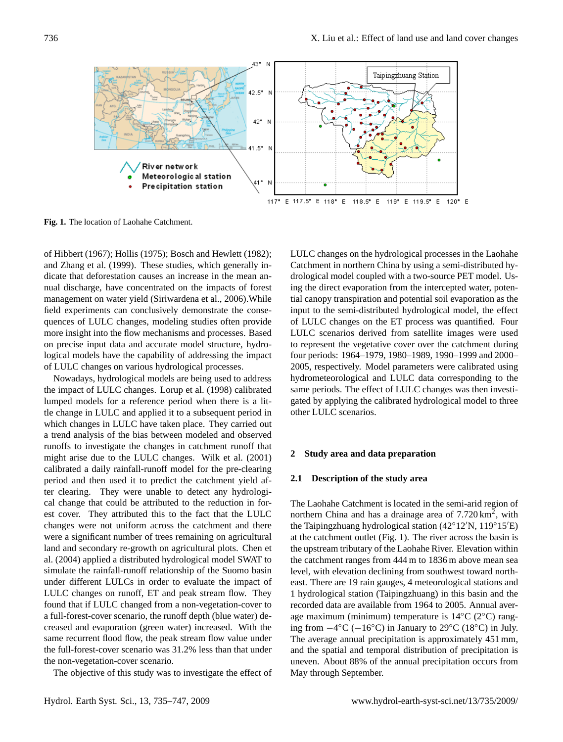

**Fig. 1.** The location of Laohahe Catchment.

of Hibbert (1967); Hollis (1975); Bosch and Hewlett (1982); and Zhang et al. (1999). These studies, which generally indicate that deforestation causes an increase in the mean annual discharge, have concentrated on the impacts of forest management on water yield (Siriwardena et al., 2006).While field experiments can conclusively demonstrate the consequences of LULC changes, modeling studies often provide more insight into the flow mechanisms and processes. Based on precise input data and accurate model structure, hydrological models have the capability of addressing the impact of LULC changes on various hydrological processes.

Nowadays, hydrological models are being used to address the impact of LULC changes. Lorup et al. (1998) calibrated lumped models for a reference period when there is a little change in LULC and applied it to a subsequent period in which changes in LULC have taken place. They carried out a trend analysis of the bias between modeled and observed runoffs to investigate the changes in catchment runoff that might arise due to the LULC changes. Wilk et al. (2001) calibrated a daily rainfall-runoff model for the pre-clearing period and then used it to predict the catchment yield after clearing. They were unable to detect any hydrological change that could be attributed to the reduction in forest cover. They attributed this to the fact that the LULC changes were not uniform across the catchment and there were a significant number of trees remaining on agricultural land and secondary re-growth on agricultural plots. Chen et al. (2004) applied a distributed hydrological model SWAT to simulate the rainfall-runoff relationship of the Suomo basin under different LULCs in order to evaluate the impact of LULC changes on runoff, ET and peak stream flow. They found that if LULC changed from a non-vegetation-cover to a full-forest-cover scenario, the runoff depth (blue water) decreased and evaporation (green water) increased. With the same recurrent flood flow, the peak stream flow value under the full-forest-cover scenario was 31.2% less than that under the non-vegetation-cover scenario.

The objective of this study was to investigate the effect of

LULC changes on the hydrological processes in the Laohahe Catchment in northern China by using a semi-distributed hydrological model coupled with a two-source PET model. Using the direct evaporation from the intercepted water, potential canopy transpiration and potential soil evaporation as the input to the semi-distributed hydrological model, the effect of LULC changes on the ET process was quantified. Four LULC scenarios derived from satellite images were used to represent the vegetative cover over the catchment during four periods: 1964–1979, 1980–1989, 1990–1999 and 2000– 2005, respectively. Model parameters were calibrated using hydrometeorological and LULC data corresponding to the same periods. The effect of LULC changes was then investigated by applying the calibrated hydrological model to three other LULC scenarios.

#### **2 Study area and data preparation**

## **2.1 Description of the study area**

The Laohahe Catchment is located in the semi-arid region of northern China and has a drainage area of 7.720 km<sup>2</sup>, with the Taipingzhuang hydrological station  $(42°12'N, 119°15'E)$ at the catchment outlet (Fig. 1). The river across the basin is the upstream tributary of the Laohahe River. Elevation within the catchment ranges from 444 m to 1836 m above mean sea level, with elevation declining from southwest toward northeast. There are 19 rain gauges, 4 meteorological stations and 1 hydrological station (Taipingzhuang) in this basin and the recorded data are available from 1964 to 2005. Annual average maximum (minimum) temperature is 14◦C (2◦C) ranging from −4 ◦C (−16◦C) in January to 29◦C (18◦C) in July. The average annual precipitation is approximately 451 mm, and the spatial and temporal distribution of precipitation is uneven. About 88% of the annual precipitation occurs from May through September.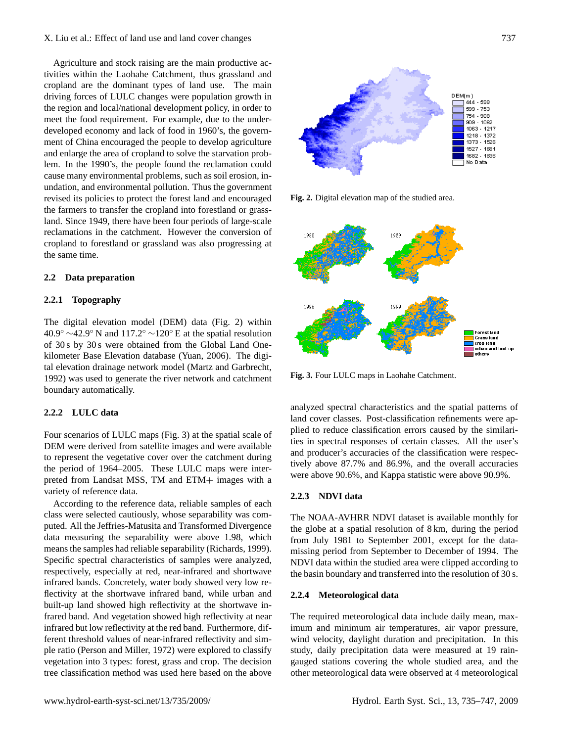# X. Liu et al.: Effect of land use and land cover changes 737

Agriculture and stock raising are the main productive activities within the Laohahe Catchment, thus grassland and cropland are the dominant types of land use. The main driving forces of LULC changes were population growth in the region and local/national development policy, in order to meet the food requirement. For example, due to the underdeveloped economy and lack of food in 1960's, the government of China encouraged the people to develop agriculture and enlarge the area of cropland to solve the starvation problem. In the 1990's, the people found the reclamation could cause many environmental problems, such as soil erosion, inundation, and environmental pollution. Thus the government revised its policies to protect the forest land and encouraged the farmers to transfer the cropland into forestland or grassland. Since 1949, there have been four periods of large-scale reclamations in the catchment. However the conversion of cropland to forestland or grassland was also progressing at the same time.

# **2.2 Data preparation**

# **2.2.1 Topography**

The digital elevation model (DEM) data (Fig. 2) within  $40.9° \sim 42.9°$  N and  $117.2° \sim 120°$  E at the spatial resolution of 30 s by 30 s were obtained from the Global Land Onekilometer Base Elevation database (Yuan, 2006). The digital elevation drainage network model (Martz and Garbrecht, 1992) was used to generate the river network and catchment boundary automatically.

# **2.2.2 LULC data**

Four scenarios of LULC maps (Fig. 3) at the spatial scale of DEM were derived from satellite images and were available to represent the vegetative cover over the catchment during the period of 1964–2005. These LULC maps were interpreted from Landsat MSS, TM and ETM+ images with a variety of reference data.

According to the reference data, reliable samples of each class were selected cautiously, whose separability was computed. All the Jeffries-Matusita and Transformed Divergence data measuring the separability were above 1.98, which means the samples had reliable separability (Richards, 1999). Specific spectral characteristics of samples were analyzed, respectively, especially at red, near-infrared and shortwave infrared bands. Concretely, water body showed very low reflectivity at the shortwave infrared band, while urban and built-up land showed high reflectivity at the shortwave infrared band. And vegetation showed high reflectivity at near infrared but low reflectivity at the red band. Furthermore, different threshold values of near-infrared reflectivity and simple ratio (Person and Miller, 1972) were explored to classify vegetation into 3 types: forest, grass and crop. The decision tree classification method was used here based on the above



**Fig. 2.** Digital elevation map of the studied area.



**Fig. 3.** Four LULC maps in Laohahe Catchment.

analyzed spectral characteristics and the spatial patterns of land cover classes. Post-classification refinements were applied to reduce classification errors caused by the similarities in spectral responses of certain classes. All the user's and producer's accuracies of the classification were respectively above 87.7% and 86.9%, and the overall accuracies were above 90.6%, and Kappa statistic were above 90.9%.

# **2.2.3 NDVI data**

The NOAA-AVHRR NDVI dataset is available monthly for the globe at a spatial resolution of 8 km, during the period from July 1981 to September 2001, except for the datamissing period from September to December of 1994. The NDVI data within the studied area were clipped according to the basin boundary and transferred into the resolution of 30 s.

# **2.2.4 Meteorological data**

The required meteorological data include daily mean, maximum and minimum air temperatures, air vapor pressure, wind velocity, daylight duration and precipitation. In this study, daily precipitation data were measured at 19 raingauged stations covering the whole studied area, and the other meteorological data were observed at 4 meteorological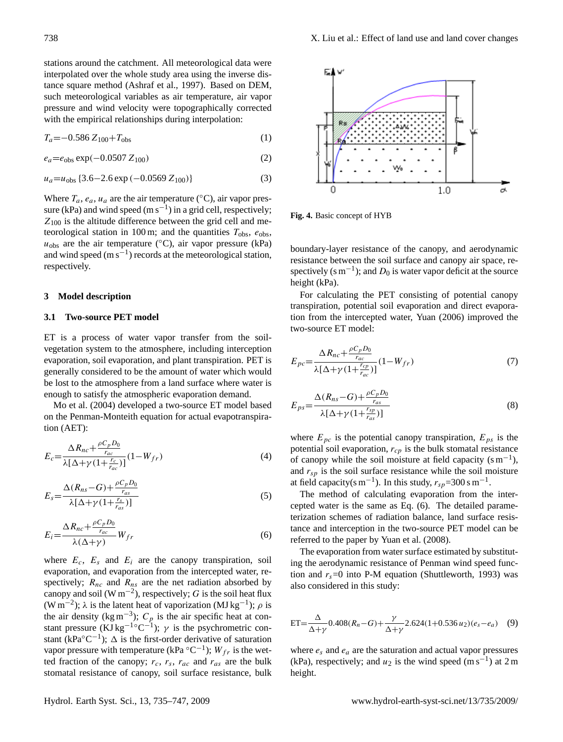stations around the catchment. All meteorological data were interpolated over the whole study area using the inverse distance square method (Ashraf et al., 1997). Based on DEM, such meteorological variables as air temperature, air vapor pressure and wind velocity were topographically corrected with the empirical relationships during interpolation:

<span id="page-3-4"></span>
$$
T_a = -0.586 Z_{100} + T_{\text{obs}} \tag{1}
$$

<span id="page-3-3"></span>
$$
e_a = e_{\text{obs}} \exp(-0.0507 Z_{100}) \tag{2}
$$

<span id="page-3-2"></span>
$$
u_a = u_{obs} \{3.6 - 2.6 \exp(-0.0569 \, Z_{100})\}\tag{3}
$$

Where  $T_a$ ,  $e_a$ ,  $u_a$  are the air temperature (°C), air vapor pressure (kPa) and wind speed (m s<sup>-1</sup>) in a grid cell, respectively;  $Z_{100}$  is the altitude difference between the grid cell and meteorological station in 100 m; and the quantities  $T_{\text{obs}}$ ,  $e_{\text{obs}}$ ,  $u_{\text{obs}}$  are the air temperature (°C), air vapor pressure (kPa) and wind speed  $(m s^{-1})$  records at the meteorological station, respectively.

## **3 Model description**

## **3.1 Two-source PET model**

ET is a process of water vapor transfer from the soilvegetation system to the atmosphere, including interception evaporation, soil evaporation, and plant transpiration. PET is generally considered to be the amount of water which would be lost to the atmosphere from a land surface where water is enough to satisfy the atmospheric evaporation demand.

Mo et al. (2004) developed a two-source ET model based on the Penman-Monteith equation for actual evapotranspiration (AET):

$$
E_c = \frac{\Delta R_{nc} + \frac{\rho C_p D_0}{r_{ac}}}{\lambda [\Delta + \gamma (1 + \frac{r_c}{r_{ac}})]} (1 - W_{fr})
$$
\n(4)

<span id="page-3-1"></span>
$$
E_s = \frac{\Delta (R_{ns} - G) + \frac{\rho C_p D_0}{r_{as}}}{\lambda [\Delta + \gamma (1 + \frac{r_s}{r_{as}})]}
$$
(5)

<span id="page-3-0"></span>
$$
E_i = \frac{\Delta R_{nc} + \frac{\rho C_p D_0}{r_{ac}}}{\lambda (\Delta + \gamma)} W_{fr}
$$
(6)

where  $E_c$ ,  $E_s$  and  $E_i$  are the canopy transpiration, soil evaporation, and evaporation from the intercepted water, respectively;  $R_{nc}$  and  $R_{ns}$  are the net radiation absorbed by canopy and soil (W m<sup>-2</sup>), respectively; G is the soil heat flux (W m<sup>-2</sup>);  $\lambda$  is the latent heat of vaporization (MJ kg<sup>-1</sup>);  $\rho$  is the air density (kg m<sup>-3</sup>);  $C_p$  is the air specific heat at constant pressure (KJ kg<sup>-1</sup>°C<sup>-1</sup>);  $\gamma$  is the psychrometric constant (kPa $^{\circ}$ C<sup>-1</sup>);  $\Delta$  is the first-order derivative of saturation vapor pressure with temperature (kPa  $^{\circ}C^{-1}$ );  $W_{fr}$  is the wetted fraction of the canopy;  $r_c$ ,  $r_s$ ,  $r_{ac}$  and  $r_{as}$  are the bulk stomatal resistance of canopy, soil surface resistance, bulk



**Fig. 4.** Basic concept of HYB

boundary-layer resistance of the canopy, and aerodynamic resistance between the soil surface and canopy air space, respectively (s  $m^{-1}$ ); and  $D_0$  is water vapor deficit at the source height (kPa).

For calculating the PET consisting of potential canopy transpiration, potential soil evaporation and direct evaporation from the intercepted water, Yuan (2006) improved the two-source ET model:

$$
E_{pc} = \frac{\Delta R_{nc} + \frac{\rho C_p D_0}{r_{ac}}}{\lambda [\Delta + \gamma (1 + \frac{r_{cp}}{r_{ac}})]} (1 - W_{fr})
$$
\n<sup>(7)</sup>

$$
E_{ps} = \frac{\Delta (R_{ns} - G) + \frac{\rho C_p D_0}{r_{as}}}{\lambda [\Delta + \gamma (1 + \frac{r_{sp}}{r_{as}})]}
$$
(8)

where  $E_{pc}$  is the potential canopy transpiration,  $E_{ps}$  is the potential soil evaporation,  $r_{cp}$  is the bulk stomatal resistance of canopy while the soil moisture at field capacity  $(s m^{-1})$ , and  $r_{sp}$  is the soil surface resistance while the soil moisture at field capacity(s m<sup>-1</sup>). In this study,  $r_{sp}$ =300 s m<sup>-1</sup>.

The method of calculating evaporation from the intercepted water is the same as Eq. [\(6\)](#page-3-0). The detailed parameterization schemes of radiation balance, land surface resistance and interception in the two-source PET model can be referred to the paper by Yuan et al. (2008).

The evaporation from water surface estimated by substituting the aerodynamic resistance of Penman wind speed function and  $r_s$ =0 into P-M equation (Shuttleworth, 1993) was also considered in this study:

$$
ET = \frac{\Delta}{\Delta + \gamma} 0.408(R_n - G) + \frac{\gamma}{\Delta + \gamma} 2.624(1 + 0.536 u_2)(e_s - e_a) \quad (9)
$$

where  $e_s$  and  $e_a$  are the saturation and actual vapor pressures (kPa), respectively; and  $u_2$  is the wind speed (m s<sup>-1</sup>) at 2 m height.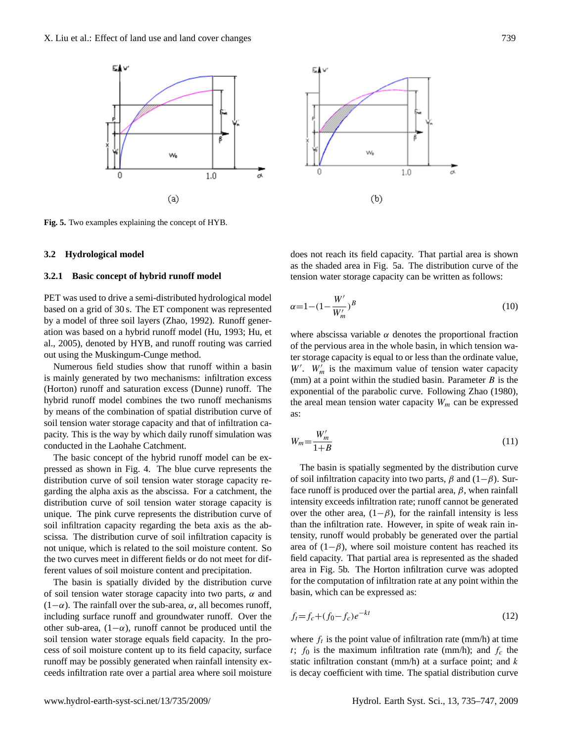



**Fig. 5.** Two examples explaining the concept of HYB.

#### **3.2 Hydrological model**

## **3.2.1 Basic concept of hybrid runoff model**

PET was used to drive a semi-distributed hydrological model based on a grid of 30 s. The ET component was represented by a model of three soil layers (Zhao, 1992). Runoff generation was based on a hybrid runoff model (Hu, 1993; Hu, et al., 2005), denoted by HYB, and runoff routing was carried out using the Muskingum-Cunge method.

Numerous field studies show that runoff within a basin is mainly generated by two mechanisms: infiltration excess (Horton) runoff and saturation excess (Dunne) runoff. The hybrid runoff model combines the two runoff mechanisms by means of the combination of spatial distribution curve of soil tension water storage capacity and that of infiltration capacity. This is the way by which daily runoff simulation was conducted in the Laohahe Catchment.

The basic concept of the hybrid runoff model can be expressed as shown in Fig. 4. The blue curve represents the distribution curve of soil tension water storage capacity regarding the alpha axis as the abscissa. For a catchment, the distribution curve of soil tension water storage capacity is unique. The pink curve represents the distribution curve of soil infiltration capacity regarding the beta axis as the abscissa. The distribution curve of soil infiltration capacity is not unique, which is related to the soil moisture content. So the two curves meet in different fields or do not meet for different values of soil moisture content and precipitation.

The basin is spatially divided by the distribution curve of soil tension water storage capacity into two parts,  $\alpha$  and  $(1-\alpha)$ . The rainfall over the sub-area,  $\alpha$ , all becomes runoff, including surface runoff and groundwater runoff. Over the other sub-area,  $(1-\alpha)$ , runoff cannot be produced until the soil tension water storage equals field capacity. In the process of soil moisture content up to its field capacity, surface runoff may be possibly generated when rainfall intensity exceeds infiltration rate over a partial area where soil moisture

does not reach its field capacity. That partial area is shown as the shaded area in Fig. 5a. The distribution curve of the tension water storage capacity can be written as follows:

$$
\alpha = 1 - (1 - \frac{W'}{W'_m})^B \tag{10}
$$

where abscissa variable  $\alpha$  denotes the proportional fraction of the pervious area in the whole basin, in which tension water storage capacity is equal to or less than the ordinate value,  $W'$ .  $W'_m$  is the maximum value of tension water capacity (mm) at a point within the studied basin. Parameter  $B$  is the exponential of the parabolic curve. Following Zhao (1980), the areal mean tension water capacity  $W_m$  can be expressed as:

$$
W_m = \frac{W'_m}{1+B} \tag{11}
$$

The basin is spatially segmented by the distribution curve of soil infiltration capacity into two parts,  $\beta$  and  $(1-\beta)$ . Surface runoff is produced over the partial area,  $\beta$ , when rainfall intensity exceeds infiltration rate; runoff cannot be generated over the other area,  $(1-\beta)$ , for the rainfall intensity is less than the infiltration rate. However, in spite of weak rain intensity, runoff would probably be generated over the partial area of  $(1-\beta)$ , where soil moisture content has reached its field capacity. That partial area is represented as the shaded area in Fig. 5b. The Horton infiltration curve was adopted for the computation of infiltration rate at any point within the basin, which can be expressed as:

$$
f_t = f_c + (f_0 - f_c)e^{-kt}
$$
\n(12)

where  $f_t$  is the point value of infiltration rate (mm/h) at time t;  $f_0$  is the maximum infiltration rate (mm/h); and  $f_c$  the static infiltration constant (mm/h) at a surface point; and  $k$ is decay coefficient with time. The spatial distribution curve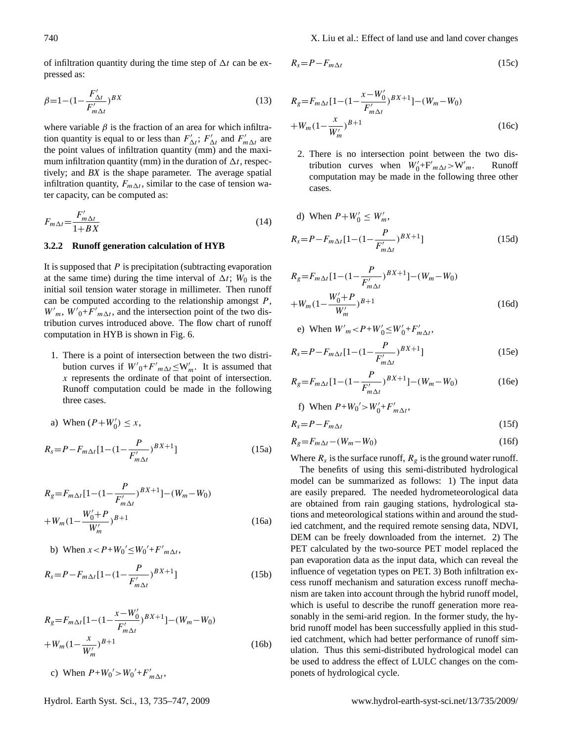of infiltration quantity during the time step of  $\Delta t$  can be expressed as:

$$
\beta = 1 - (1 - \frac{F'_{\Delta t}}{F'_{m\Delta t}})^{BX} \tag{13}
$$

where variable  $\beta$  is the fraction of an area for which infiltration quantity is equal to or less than  $F'_{\Delta t}$ ;  $F'_{\Delta t}$  and  $F'_{m\Delta t}$  are the point values of infiltration quantity (mm) and the maximum infiltration quantity (mm) in the duration of  $\Delta t$ , respectively; and *BX* is the shape parameter. The average spatial infiltration quantity,  $F_{m\Delta t}$ , similar to the case of tension water capacity, can be computed as:

$$
F_{m\Delta t} = \frac{F'_{m\Delta t}}{1 + BX} \tag{14}
$$

# **3.2.2 Runoff generation calculation of HYB**

It is supposed that  $P$  is precipitation (subtracting evaporation at the same time) during the time interval of  $\Delta t$ ;  $W_0$  is the initial soil tension water storage in millimeter. Then runoff can be computed according to the relationship amongst  $P$ ,  $W'_{m}$ ,  $W'_{0} + F'_{m\Delta t}$ , and the intersection point of the two distribution curves introduced above. The flow chart of runoff computation in HYB is shown in Fig. 6.

- 1. There is a point of intersection between the two distribution curves if  $W'_{0} + F'_{m\Delta t} \leq W'_{m}$ . It is assumed that x represents the ordinate of that point of intersection. Runoff computation could be made in the following three cases.
- a) When  $(P+W_0') \le x$ ,

$$
R_s = P - F_{m\Delta t} [1 - (1 - \frac{P}{F'_{m\Delta t}})^{BX+1}]
$$
 (15a)

$$
R_{g} = F_{m\Delta t} [1 - (1 - \frac{P}{F'_{m\Delta t}})^{BX+1}] - (W_{m} - W_{0})
$$
  
+ 
$$
W_{m} (1 - \frac{W'_{0} + P}{W'_{m}})^{B+1}
$$
 (16a)

b) When 
$$
x < P + W_0' \le W_0' + F'_{m\Delta t}
$$
,  
\n
$$
R_s = P - F_{m\Delta t} [1 - (1 - \frac{P}{F'_{m\Delta t}})^{BX+1}]
$$
\n(15b)

$$
R_{g} = F_{m\Delta t} [1 - (1 - \frac{x - W_0'}{F_{m\Delta t}'})^{BX+1}] - (W_m - W_0)
$$
  
+  $W_m (1 - \frac{x}{W_m'})^{B+1}$  (16b)

c) When  $P+W_0' > W_0' + F'_{m\Delta t}$ ,

$$
R_s = P - F_{m\Delta t} \tag{15c}
$$

$$
R_{g} = F_{m\Delta t} [1 - (1 - \frac{x - W_0'}{F_{m\Delta t}'})^{BX+1}] - (W_m - W_0)
$$
  
+  $W_m (1 - \frac{x}{W_m'})^{B+1}$  (16c)

2. There is no intersection point between the two distribution curves when  $W'_0 + F'_{m\Delta t} > W'$ **Runoff** computation may be made in the following three other cases.

d) When 
$$
P + W'_0 \le W'_m
$$
,  
\n
$$
R_s = P - F_{m\Delta t} [1 - (1 - \frac{P}{F'_{m\Delta t}})^{BX+1}]
$$
\n(15d)

$$
R_{g} = F_{m\Delta t} [1 - (1 - \frac{P}{F'_{m\Delta t}})^{BX+1}] - (W_m - W_0)
$$
  
+ 
$$
W_m (1 - \frac{W'_0 + P}{W'_m})^{B+1}
$$
 (16d)

e) When 
$$
W'_m < P + W'_0 \le W'_0 + F'_{m\Delta t}
$$
,

$$
R_s = P - F_{m\Delta t} [1 - (1 - \frac{P}{F'_{m\Delta t}})^{BX+1}]
$$
 (15e)

$$
R_g = F_{m\Delta t} [1 - (1 - \frac{P}{F'_{m\Delta t}})^{BX+1}] - (W_m - W_0)
$$
 (16e)

f) When 
$$
P+W_0' > W'_0 + F'_{m\Delta t}
$$
,

$$
R_s = P - F_{m\Delta t} \tag{15f}
$$

$$
R_g = F_{m\Delta t} - (W_m - W_0) \tag{16f}
$$

Where  $R_s$  is the surface runoff,  $R_g$  is the ground water runoff.

The benefits of using this semi-distributed hydrological model can be summarized as follows: 1) The input data are easily prepared. The needed hydrometeorological data are obtained from rain gauging stations, hydrological stations and meteorological stations within and around the studied catchment, and the required remote sensing data, NDVI, DEM can be freely downloaded from the internet. 2) The PET calculated by the two-source PET model replaced the pan evaporation data as the input data, which can reveal the influence of vegetation types on PET. 3) Both infiltration excess runoff mechanism and saturation excess runoff mechanism are taken into account through the hybrid runoff model, which is useful to describe the runoff generation more reasonably in the semi-arid region. In the former study, the hybrid runoff model has been successfully applied in this studied catchment, which had better performance of runoff simulation. Thus this semi-distributed hydrological model can be used to address the effect of LULC changes on the componets of hydrological cycle.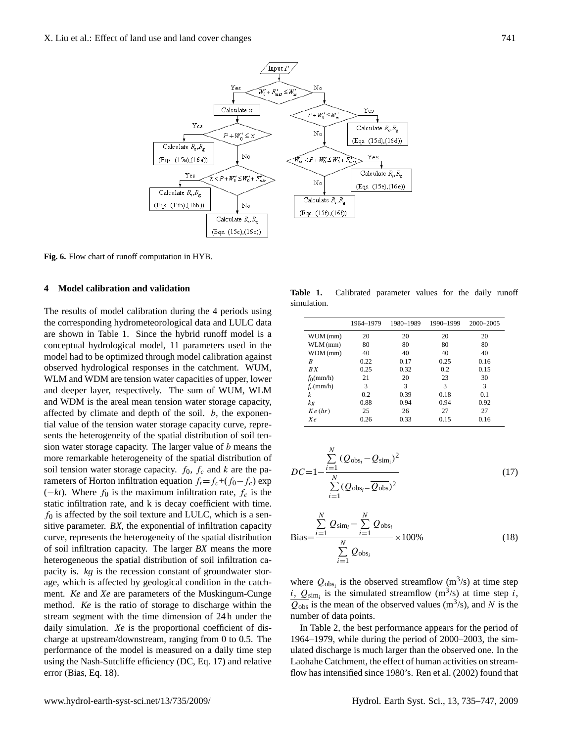

**Fig. 6.** Flow chart of runoff computation in HYB.

# **4 Model calibration and validation**

The results of model calibration during the 4 periods using the corresponding hydrometeorological data and LULC data are shown in Table 1. Since the hybrid runoff model is a conceptual hydrological model, 11 parameters used in the model had to be optimized through model calibration against observed hydrological responses in the catchment. WUM, WLM and WDM are tension water capacities of upper, lower and deeper layer, respectively. The sum of WUM, WLM and WDM is the areal mean tension water storage capacity, affected by climate and depth of the soil.  $b$ , the exponential value of the tension water storage capacity curve, represents the heterogeneity of the spatial distribution of soil tension water storage capacity. The larger value of b means the more remarkable heterogeneity of the spatial distribution of soil tension water storage capacity.  $f_0$ ,  $f_c$  and k are the parameters of Horton infiltration equation  $f_t=f_c+(f_0-f_c)$  exp  $(-kt)$ . Where  $f_0$  is the maximum infiltration rate,  $f_c$  is the static infiltration rate, and k is decay coefficient with time.  $f_0$  is affected by the soil texture and LULC, which is a sensitive parameter. *BX*, the exponential of infiltration capacity curve, represents the heterogeneity of the spatial distribution of soil infiltration capacity. The larger *BX* means the more heterogeneous the spatial distribution of soil infiltration capacity is. *kg* is the recession constant of groundwater storage, which is affected by geological condition in the catchment. *Ke* and *Xe* are parameters of the Muskingum-Cunge method. *Ke* is the ratio of storage to discharge within the stream segment with the time dimension of 24 h under the daily simulation. *Xe* is the proportional coefficient of discharge at upstream/downstream, ranging from 0 to 0.5. The performance of the model is measured on a daily time step using the Nash-Sutcliffe efficiency (DC, Eq. [17\)](#page-6-0) and relative error (Bias, Eq. [18\)](#page-6-1).

**Table 1.** Calibrated parameter values for the daily runoff simulation.

|              | 1964-1979 | 1980-1989 | 1990-1999 | 2000-2005 |
|--------------|-----------|-----------|-----------|-----------|
| WUM (mm)     | 20        | 20        | 20        | 20        |
| $WLM$ (mm)   | 80        | 80        | 80        | 80        |
| $WDM$ (mm)   | 40        | 40        | 40        | 40        |
| B            | 0.22      | 0.17      | 0.25      | 0.16      |
| RX           | 0.25      | 0.32      | 0.2       | 0.15      |
| $f_0$ (mm/h) | 21        | 20        | 23        | 30        |
| $f_c$ (mm/h) | 3         | 3         | 3         | 3         |
| k            | 0.2       | 0.39      | 0.18      | 0.1       |
| kg           | 0.88      | 0.94      | 0.94      | 0.92      |
| Ke(hr)       | 25        | 26        | 27        | 27        |
| $X_{\ell}$   | 0.26      | 0.33      | 0.15      | 0.16      |

<span id="page-6-0"></span>
$$
DC = 1 - \frac{\sum_{i=1}^{N} (Q_{\text{obs}_i} - Q_{\text{sim}_i})^2}{\sum_{i=1}^{N} (Q_{\text{obs}_i} - Q_{\text{obs}})^2}
$$
(17)

<span id="page-6-1"></span>
$$
\text{Bias} = \frac{\sum_{i=1}^{N} Q_{\text{sim}_i} - \sum_{i=1}^{N} Q_{\text{obs}_i}}{\sum_{i=1}^{N} Q_{\text{obs}_i}} \times 100\%
$$
(18)

where  $Q_{obs_i}$  is the observed streamflow  $(m^3/s)$  at time step  $i$ ,  $Q_{sim_i}$  is the simulated streamflow (m<sup>3</sup>/s) at time step i,  $\overline{Q_{\text{obs}}}$  is the mean of the observed values (m<sup>3</sup>/s), and N is the number of data points.

In Table 2, the best performance appears for the period of 1964–1979, while during the period of 2000–2003, the simulated discharge is much larger than the observed one. In the Laohahe Catchment, the effect of human activities on streamflow has intensified since 1980's. Ren et al. (2002) found that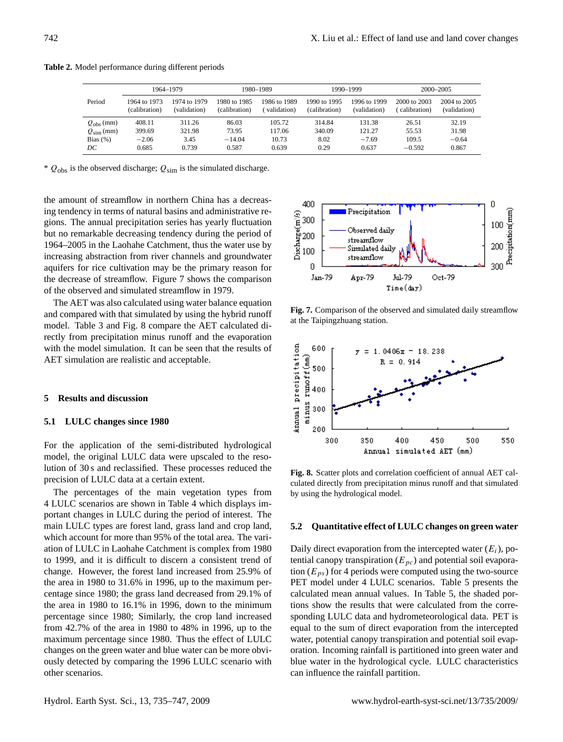|                       |               | 1964-1979    |               | 1980-1989    |               | 1990-1999    | 2000-2005    |              |
|-----------------------|---------------|--------------|---------------|--------------|---------------|--------------|--------------|--------------|
| Period                | 1964 to 1973  | 1974 to 1979 | 1980 to 1985  | 1986 to 1989 | 1990 to 1995  | 1996 to 1999 | 2000 to 2003 | 2004 to 2005 |
|                       | (calibration) | (validation) | (calibration) | validation)  | (calibration) | (validation) | calibration) | (validation) |
| $Q_{\rm obs}$ (mm)    | 408.11        | 311.26       | 86.03         | 105.72       | 314.84        | 131.38       | 26.51        | 32.19        |
| $Q_{\text{sim}}$ (mm) | 399.69        | 321.98       | 73.95         | 117.06       | 340.09        | 121.27       | 55.53        | 31.98        |
| Bias $(\%)$           | $-2.06$       | 3.45         | $-14.04$      | 10.73        | 8.02          | $-7.69$      | 109.5        | $-0.64$      |
| $_{DC}$               | 0.685         | 0.739        | 0.587         | 0.639        | 0.29          | 0.637        | $-0.592$     | 0.867        |

**Table 2.** Model performance during different periods

\*  $Q_{obs}$  is the observed discharge;  $Q_{sim}$  is the simulated discharge.

the amount of streamflow in northern China has a decreasing tendency in terms of natural basins and administrative regions. The annual precipitation series has yearly fluctuation but no remarkable decreasing tendency during the period of 1964–2005 in the Laohahe Catchment, thus the water use by increasing abstraction from river channels and groundwater aquifers for rice cultivation may be the primary reason for the decrease of streamflow. Figure 7 shows the comparison of the observed and simulated streamflow in 1979.

The AET was also calculated using water balance equation and compared with that simulated by using the hybrid runoff model. Table 3 and Fig. 8 compare the AET calculated directly from precipitation minus runoff and the evaporation with the model simulation. It can be seen that the results of AET simulation are realistic and acceptable.

### **5 Results and discussion**

## **5.1 LULC changes since 1980**

For the application of the semi-distributed hydrological model, the original LULC data were upscaled to the resolution of 30 s and reclassified. These processes reduced the precision of LULC data at a certain extent.

The percentages of the main vegetation types from 4 LULC scenarios are shown in Table 4 which displays important changes in LULC during the period of interest. The main LULC types are forest land, grass land and crop land, which account for more than 95% of the total area. The variation of LULC in Laohahe Catchment is complex from 1980 to 1999, and it is difficult to discern a consistent trend of change. However, the forest land increased from 25.9% of the area in 1980 to 31.6% in 1996, up to the maximum percentage since 1980; the grass land decreased from 29.1% of the area in 1980 to 16.1% in 1996, down to the minimum percentage since 1980; Similarly, the crop land increased from 42.7% of the area in 1980 to 48% in 1996, up to the maximum percentage since 1980. Thus the effect of LULC changes on the green water and blue water can be more obviously detected by comparing the 1996 LULC scenario with other scenarios.



**Fig. 7.** Comparison of the observed and simulated daily streamflow at the Taipingzhuang station.



**Fig. 8.** Scatter plots and correlation coefficient of annual AET calculated directly from precipitation minus runoff and that simulated by using the hydrological model.

#### **5.2 Quantitative effect of LULC changes on green water**

Daily direct evaporation from the intercepted water  $(E_i)$ , potential canopy transpiration ( $E_{pc}$ ) and potential soil evaporation ( $E_{ps}$ ) for 4 periods were computed using the two-source PET model under 4 LULC scenarios. Table 5 presents the calculated mean annual values. In Table 5, the shaded portions show the results that were calculated from the corresponding LULC data and hydrometeorological data. PET is equal to the sum of direct evaporation from the intercepted water, potential canopy transpiration and potential soil evaporation. Incoming rainfall is partitioned into green water and blue water in the hydrological cycle. LULC characteristics can influence the rainfall partition.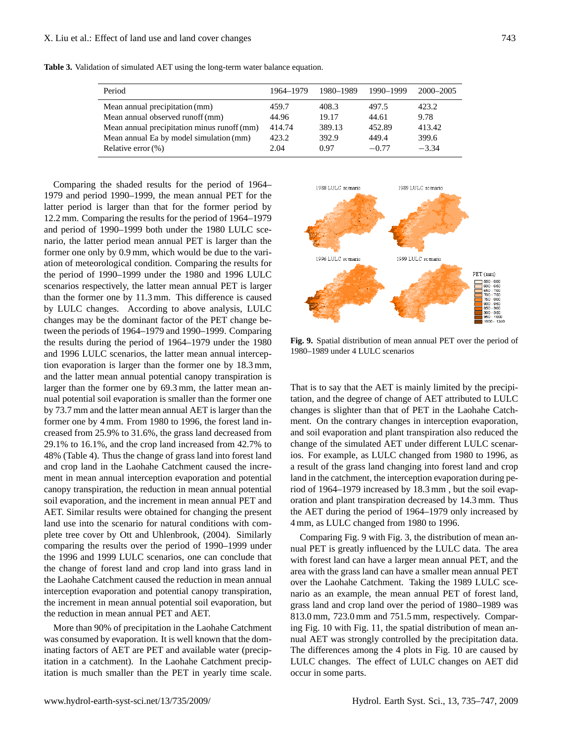| Period                                      | 1964–1979 | 1980–1989 | 1990–1999 | 2000–2005 |
|---------------------------------------------|-----------|-----------|-----------|-----------|
| Mean annual precipitation (mm)              | 459.7     | 408.3     | 497.5     | 423.2     |
| Mean annual observed runoff (mm)            | 44.96     | 19.17     | 44.61     | 9.78      |
| Mean annual precipitation minus runoff (mm) | 414.74    | 389.13    | 452.89    | 413.42    |
| Mean annual Ea by model simulation (mm)     | 423.2     | 392.9     | 449.4     | 399.6     |
| Relative error $(\%)$                       | 2.04      | 0.97      | $-0.77$   | $-3.34$   |

**Table 3.** Validation of simulated AET using the long-term water balance equation.

Comparing the shaded results for the period of 1964– 1979 and period 1990–1999, the mean annual PET for the latter period is larger than that for the former period by 12.2 mm. Comparing the results for the period of 1964–1979 and period of 1990–1999 both under the 1980 LULC scenario, the latter period mean annual PET is larger than the former one only by 0.9 mm, which would be due to the variation of meteorological condition. Comparing the results for the period of 1990–1999 under the 1980 and 1996 LULC scenarios respectively, the latter mean annual PET is larger than the former one by 11.3 mm. This difference is caused by LULC changes. According to above analysis, LULC changes may be the dominant factor of the PET change between the periods of 1964–1979 and 1990–1999. Comparing the results during the period of 1964–1979 under the 1980 and 1996 LULC scenarios, the latter mean annual interception evaporation is larger than the former one by 18.3 mm, and the latter mean annual potential canopy transpiration is larger than the former one by 69.3 mm, the latter mean annual potential soil evaporation is smaller than the former one by 73.7 mm and the latter mean annual AET is larger than the former one by 4 mm. From 1980 to 1996, the forest land increased from 25.9% to 31.6%, the grass land decreased from 29.1% to 16.1%, and the crop land increased from 42.7% to 48% (Table 4). Thus the change of grass land into forest land and crop land in the Laohahe Catchment caused the increment in mean annual interception evaporation and potential canopy transpiration, the reduction in mean annual potential soil evaporation, and the increment in mean annual PET and AET. Similar results were obtained for changing the present land use into the scenario for natural conditions with complete tree cover by Ott and Uhlenbrook, (2004). Similarly comparing the results over the period of 1990–1999 under the 1996 and 1999 LULC scenarios, one can conclude that the change of forest land and crop land into grass land in the Laohahe Catchment caused the reduction in mean annual interception evaporation and potential canopy transpiration, the increment in mean annual potential soil evaporation, but the reduction in mean annual PET and AET.

More than 90% of precipitation in the Laohahe Catchment was consumed by evaporation. It is well known that the dominating factors of AET are PET and available water (precipitation in a catchment). In the Laohahe Catchment precipitation is much smaller than the PET in yearly time scale.



**Fig. 9.** Spatial distribution of mean annual PET over the period of 1980–1989 under 4 LULC scenarios

That is to say that the AET is mainly limited by the precipitation, and the degree of change of AET attributed to LULC changes is slighter than that of PET in the Laohahe Catchment. On the contrary changes in interception evaporation, and soil evaporation and plant transpiration also reduced the change of the simulated AET under different LULC scenarios. For example, as LULC changed from 1980 to 1996, as a result of the grass land changing into forest land and crop land in the catchment, the interception evaporation during period of 1964–1979 increased by 18.3 mm , but the soil evaporation and plant transpiration decreased by 14.3 mm. Thus the AET during the period of 1964–1979 only increased by 4 mm, as LULC changed from 1980 to 1996.

Comparing Fig. 9 with Fig. 3, the distribution of mean annual PET is greatly influenced by the LULC data. The area with forest land can have a larger mean annual PET, and the area with the grass land can have a smaller mean annual PET over the Laohahe Catchment. Taking the 1989 LULC scenario as an example, the mean annual PET of forest land, grass land and crop land over the period of 1980–1989 was 813.0 mm, 723.0 mm and 751.5 mm, respectively. Comparing Fig. 10 with Fig. 11, the spatial distribution of mean annual AET was strongly controlled by the precipitation data. The differences among the 4 plots in Fig. 10 are caused by LULC changes. The effect of LULC changes on AET did occur in some parts.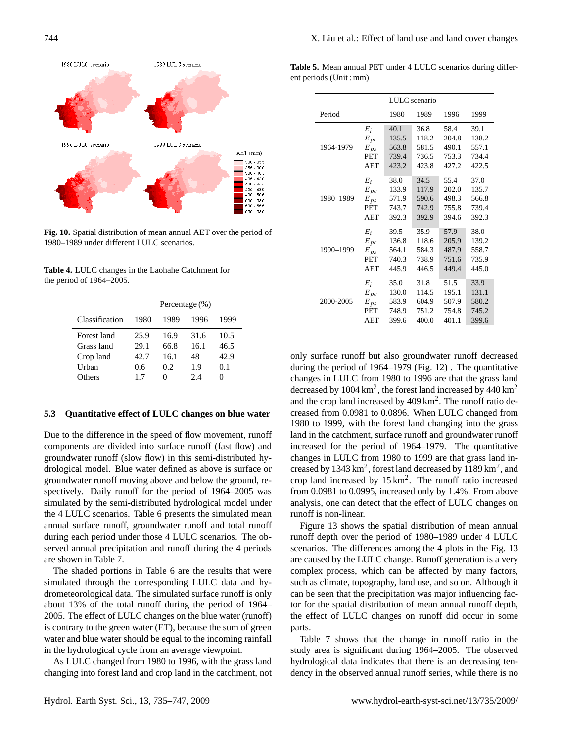

**Fig. 10.** Spatial distribution of mean annual AET over the period of 1980–1989 under different LULC scenarios.

**Table 4.** LULC changes in the Laohahe Catchment for the period of 1964–2005.

|                | Percentage $(\%)$ |      |      |                   |  |  |  |
|----------------|-------------------|------|------|-------------------|--|--|--|
| Classification | 1980              | 1989 | 1996 | 1999              |  |  |  |
| Forest land    | 25.9              | 16.9 | 31.6 | 10.5              |  |  |  |
| Grass land     | 29.1              | 66.8 | 16.1 | 46.5              |  |  |  |
| Crop land      | 42.7              | 16.1 | 48   | 42.9              |  |  |  |
| Urban          | 0.6               | 0.2  | 1.9  | 0.1               |  |  |  |
| Others         | 17                |      | 2.4  | $\mathbf{\Omega}$ |  |  |  |

## **5.3 Quantitative effect of LULC changes on blue water**

Due to the difference in the speed of flow movement, runoff components are divided into surface runoff (fast flow) and groundwater runoff (slow flow) in this semi-distributed hydrological model. Blue water defined as above is surface or groundwater runoff moving above and below the ground, respectively. Daily runoff for the period of 1964–2005 was simulated by the semi-distributed hydrological model under the 4 LULC scenarios. Table 6 presents the simulated mean annual surface runoff, groundwater runoff and total runoff during each period under those 4 LULC scenarios. The observed annual precipitation and runoff during the 4 periods are shown in Table 7.

The shaded portions in Table 6 are the results that were simulated through the corresponding LULC data and hydrometeorological data. The simulated surface runoff is only about 13% of the total runoff during the period of 1964– 2005. The effect of LULC changes on the blue water (runoff) is contrary to the green water (ET), because the sum of green water and blue water should be equal to the incoming rainfall in the hydrological cycle from an average viewpoint.

As LULC changed from 1980 to 1996, with the grass land changing into forest land and crop land in the catchment, not

**Table 5.** Mean annual PET under 4 LULC scenarios during different periods (Unit : mm)

|           |            |       | LULC scenario |       |       |
|-----------|------------|-------|---------------|-------|-------|
| Period    |            | 1980  | 1989          | 1996  | 1999  |
|           | $E_i$      | 40.1  | 36.8          | 58.4  | 39.1  |
|           | $E_{pc}$   | 135.5 | 118.2         | 204.8 | 138.2 |
| 1964-1979 | $E_{ps}$   | 563.8 | 581.5         | 490.1 | 557.1 |
|           | <b>PET</b> | 739.4 | 736.5         | 753.3 | 734.4 |
|           | AET        | 423.2 | 423.8         | 427.2 | 422.5 |
|           | $E_i$      | 38.0  | 34.5          | 55.4  | 37.0  |
|           | $E_{pc}$   | 133.9 | 117.9         | 202.0 | 135.7 |
| 1980-1989 | $E_{ps}$   | 571.9 | 590.6         | 498.3 | 566.8 |
|           | <b>PET</b> | 743.7 | 742.9         | 755.8 | 739.4 |
|           | <b>AET</b> | 392.3 | 392.9         | 394.6 | 392.3 |
|           | $E_i$      | 39.5  | 35.9          | 57.9  | 38.0  |
|           | $E_{pc}$   | 136.8 | 118.6         | 205.9 | 139.2 |
| 1990-1999 | $E_{ps}$   | 564.1 | 584.3         | 487.9 | 558.7 |
|           | <b>PET</b> | 740.3 | 738.9         | 751.6 | 735.9 |
|           | <b>AET</b> | 445.9 | 446.5         | 449.4 | 445.0 |
|           | $E_i$      | 35.0  | 31.8          | 51.5  | 33.9  |
|           | $E_{pc}$   | 130.0 | 114.5         | 195.1 | 131.1 |
| 2000-2005 | $E_{ps}$   | 583.9 | 604.9         | 507.9 | 580.2 |
|           | <b>PET</b> | 748.9 | 751.2         | 754.8 | 745.2 |
|           | <b>AET</b> | 399.6 | 400.0         | 401.1 | 399.6 |
|           |            |       |               |       |       |

only surface runoff but also groundwater runoff decreased during the period of 1964–1979 (Fig. 12) . The quantitative changes in LULC from 1980 to 1996 are that the grass land decreased by  $1004 \text{ km}^2$ , the forest land increased by  $440 \text{ km}^2$ and the crop land increased by  $409 \text{ km}^2$ . The runoff ratio decreased from 0.0981 to 0.0896. When LULC changed from 1980 to 1999, with the forest land changing into the grass land in the catchment, surface runoff and groundwater runoff increased for the period of 1964–1979. The quantitative changes in LULC from 1980 to 1999 are that grass land increased by  $1343 \text{ km}^2$ , forest land decreased by  $1189 \text{ km}^2$ , and crop land increased by  $15 \text{ km}^2$ . The runoff ratio increased from 0.0981 to 0.0995, increased only by 1.4%. From above analysis, one can detect that the effect of LULC changes on runoff is non-linear.

Figure 13 shows the spatial distribution of mean annual runoff depth over the period of 1980–1989 under 4 LULC scenarios. The differences among the 4 plots in the Fig. 13 are caused by the LULC change. Runoff generation is a very complex process, which can be affected by many factors, such as climate, topography, land use, and so on. Although it can be seen that the precipitation was major influencing factor for the spatial distribution of mean annual runoff depth, the effect of LULC changes on runoff did occur in some parts.

Table 7 shows that the change in runoff ratio in the study area is significant during 1964–2005. The observed hydrological data indicates that there is an decreasing tendency in the observed annual runoff series, while there is no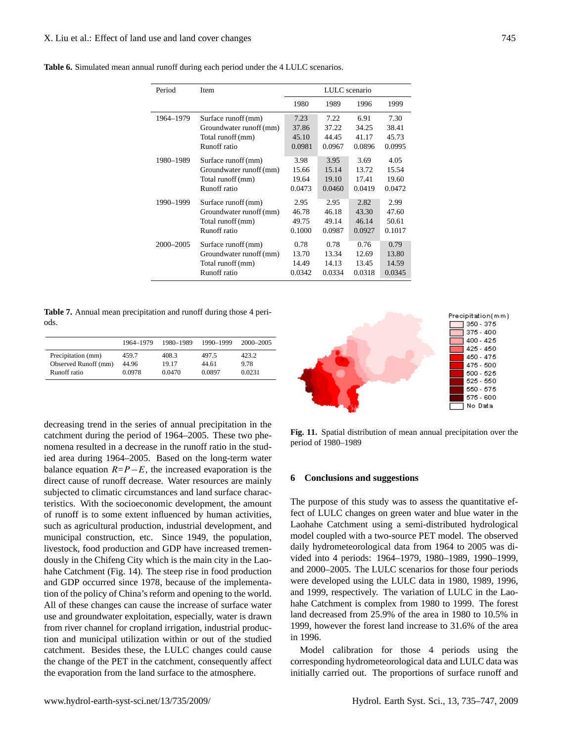|  |  |  |  |  | <b>Table 6.</b> Simulated mean annual runoff during each period under the 4 LULC scenarios. |  |  |  |  |
|--|--|--|--|--|---------------------------------------------------------------------------------------------|--|--|--|--|
|--|--|--|--|--|---------------------------------------------------------------------------------------------|--|--|--|--|

| Period    | Item                    | LULC scenario |        |        |        |  |
|-----------|-------------------------|---------------|--------|--------|--------|--|
|           |                         | 1980          | 1989   | 1996   | 1999   |  |
| 1964-1979 | Surface runoff (mm)     | 7.23          | 7.22   | 6.91   | 7.30   |  |
|           | Groundwater runoff (mm) | 37.86         | 37.22  | 34.25  | 38.41  |  |
|           | Total runoff (mm)       | 45.10         | 44.45  | 41.17  | 45.73  |  |
|           | Runoff ratio            | 0.0981        | 0.0967 | 0.0896 | 0.0995 |  |
| 1980-1989 | Surface runoff (mm)     | 3.98          | 3.95   | 3.69   | 4.05   |  |
|           | Groundwater runoff (mm) | 15.66         | 15.14  | 13.72  | 15.54  |  |
|           | Total runoff (mm)       | 19.64         | 19.10  | 17.41  | 19.60  |  |
|           | Runoff ratio            | 0.0473        | 0.0460 | 0.0419 | 0.0472 |  |
| 1990-1999 | Surface runoff (mm)     | 2.95          | 2.95   | 2.82   | 2.99   |  |
|           | Groundwater runoff (mm) | 46.78         | 46.18  | 43.30  | 47.60  |  |
|           | Total runoff (mm)       | 49.75         | 49.14  | 46.14  | 50.61  |  |
|           | Runoff ratio            | 0.1000        | 0.0987 | 0.0927 | 0.1017 |  |
| 2000-2005 | Surface runoff (mm)     | 0.78          | 0.78   | 0.76   | 0.79   |  |
|           | Groundwater runoff (mm) | 13.70         | 13.34  | 12.69  | 13.80  |  |
|           | Total runoff (mm)       | 14.49         | 14.13  | 13.45  | 14.59  |  |
|           | Runoff ratio            | 0.0342        | 0.0334 | 0.0318 | 0.0345 |  |
|           |                         |               |        |        |        |  |

**Table 7.** Annual mean precipitation and runoff during those 4 periods.

|                      | 1964-1979 | 1980-1989 | 1990-1999 | 2000-2005 |
|----------------------|-----------|-----------|-----------|-----------|
| Precipitation (mm)   | 459.7     | 408.3     | 497.5     | 423.2     |
| Observed Runoff (mm) | 44.96     | 19.17     | 44.61     | 9.78      |
| Runoff ratio         | 0.0978    | 0.0470    | 0.0897    | 0.0231    |

decreasing trend in the series of annual precipitation in the catchment during the period of 1964–2005. These two phenomena resulted in a decrease in the runoff ratio in the studied area during 1964–2005. Based on the long-term water balance equation  $R = P - E$ , the increased evaporation is the direct cause of runoff decrease. Water resources are mainly subjected to climatic circumstances and land surface characteristics. With the socioeconomic development, the amount of runoff is to some extent influenced by human activities, such as agricultural production, industrial development, and municipal construction, etc. Since 1949, the population, livestock, food production and GDP have increased tremendously in the Chifeng City which is the main city in the Laohahe Catchment (Fig. 14). The steep rise in food production and GDP occurred since 1978, because of the implementation of the policy of China's reform and opening to the world. All of these changes can cause the increase of surface water use and groundwater exploitation, especially, water is drawn from river channel for cropland irrigation, industrial production and municipal utilization within or out of the studied catchment. Besides these, the LULC changes could cause the change of the PET in the catchment, consequently affect the evaporation from the land surface to the atmosphere.



**Fig. 11.** Spatial distribution of mean annual precipitation over the period of 1980–1989

#### **6 Conclusions and suggestions**

The purpose of this study was to assess the quantitative effect of LULC changes on green water and blue water in the Laohahe Catchment using a semi-distributed hydrological model coupled with a two-source PET model. The observed daily hydrometeorological data from 1964 to 2005 was divided into 4 periods: 1964–1979, 1980–1989, 1990–1999, and 2000–2005. The LULC scenarios for those four periods were developed using the LULC data in 1980, 1989, 1996, and 1999, respectively. The variation of LULC in the Laohahe Catchment is complex from 1980 to 1999. The forest land decreased from 25.9% of the area in 1980 to 10.5% in 1999, however the forest land increase to 31.6% of the area in 1996.

Model calibration for those 4 periods using the corresponding hydrometeorological data and LULC data was initially carried out. The proportions of surface runoff and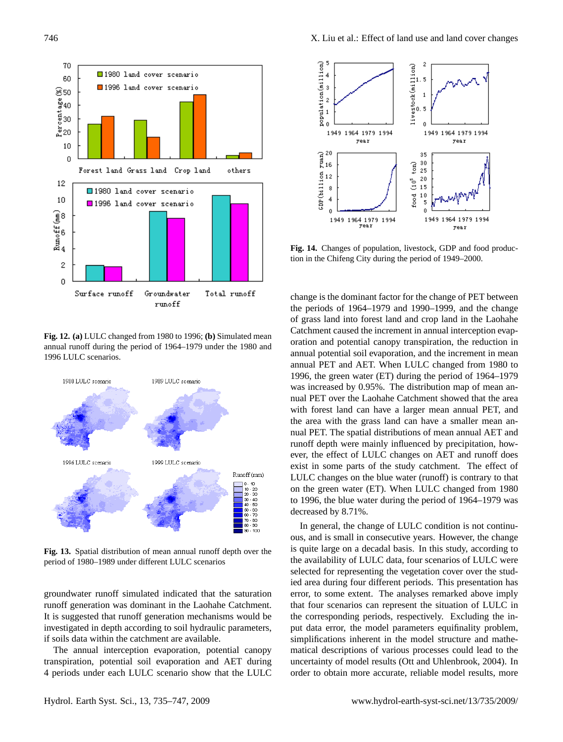

**Fig. 12. (a)** LULC changed from 1980 to 1996; **(b)** Simulated mean annual runoff during the period of 1964–1979 under the 1980 and 1996 LULC scenarios.



**Fig. 13.** Spatial distribution of mean annual runoff depth over the period of 1980–1989 under different LULC scenarios

groundwater runoff simulated indicated that the saturation runoff generation was dominant in the Laohahe Catchment. It is suggested that runoff generation mechanisms would be investigated in depth according to soil hydraulic parameters, if soils data within the catchment are available.

The annual interception evaporation, potential canopy transpiration, potential soil evaporation and AET during 4 periods under each LULC scenario show that the LULC



**Fig. 14.** Changes of population, livestock, GDP and food production in the Chifeng City during the period of 1949–2000.

change is the dominant factor for the change of PET between the periods of 1964–1979 and 1990–1999, and the change of grass land into forest land and crop land in the Laohahe Catchment caused the increment in annual interception evaporation and potential canopy transpiration, the reduction in annual potential soil evaporation, and the increment in mean annual PET and AET. When LULC changed from 1980 to 1996, the green water (ET) during the period of 1964–1979 was increased by 0.95%. The distribution map of mean annual PET over the Laohahe Catchment showed that the area with forest land can have a larger mean annual PET, and the area with the grass land can have a smaller mean annual PET. The spatial distributions of mean annual AET and runoff depth were mainly influenced by precipitation, however, the effect of LULC changes on AET and runoff does exist in some parts of the study catchment. The effect of LULC changes on the blue water (runoff) is contrary to that on the green water (ET). When LULC changed from 1980 to 1996, the blue water during the period of 1964–1979 was decreased by 8.71%.

In general, the change of LULC condition is not continuous, and is small in consecutive years. However, the change is quite large on a decadal basis. In this study, according to the availability of LULC data, four scenarios of LULC were selected for representing the vegetation cover over the studied area during four different periods. This presentation has error, to some extent. The analyses remarked above imply that four scenarios can represent the situation of LULC in the corresponding periods, respectively. Excluding the input data error, the model parameters equifinality problem, simplifications inherent in the model structure and mathematical descriptions of various processes could lead to the uncertainty of model results (Ott and Uhlenbrook, 2004). In order to obtain more accurate, reliable model results, more